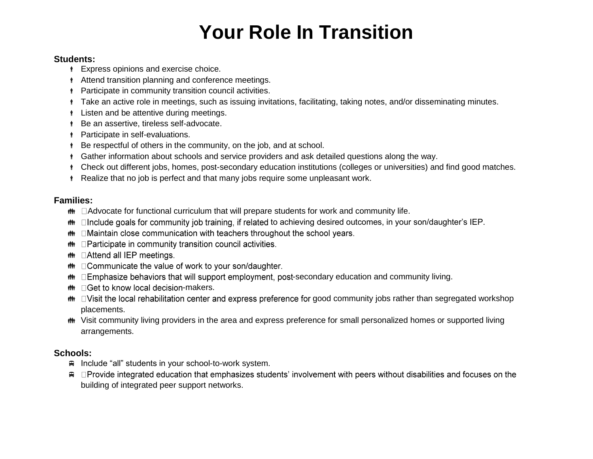# **Your Role In Transition**

#### **Students:**

- **Express opinions and exercise choice.**
- **Attend transition planning and conference meetings.**
- **Participate in community transition council activities.**
- Take an active role in meetings, such as issuing invitations, facilitating, taking notes, and/or disseminating minutes.
- **i** Listen and be attentive during meetings.
- Be an assertive, tireless self-advocate.
- **Participate in self-evaluations.**
- **Be respectful of others in the community, on the job, and at school.**
- Gather information about schools and service providers and ask detailed questions along the way.
- Check out different jobs, homes, post-secondary education institutions (colleges or universities) and find good matches.
- Realize that no job is perfect and that many jobs require some unpleasant work.

### **Families:**

- $\mathbf{A}$   $\Box$  Advocate for functional curriculum that will prepare students for work and community life.
- the **Include goals for community job training**, if related to achieving desired outcomes, in your son/daughter's IEP.
- □Maintain close communication with teachers throughout the school years. 11)
- 11) □ Participate in community transition council activities.
- □ Attend all IEP meetings. 11)
- **ith** □ Communicate the value of work to your son/daughter.
- $\mathbf{f}$   $\mathbb{F}$   $\Box$  Emphasize behaviors that will support employment, post-secondary education and community living.
- □Get to know local decision-makers.
- the □Visit the local rehabilitation center and express preference for good community jobs rather than segregated workshop placements.
- Visit community living providers in the area and express preference for small personalized homes or supported living arrangements.

### **Schools:**

- $\equiv$  Include "all" students in your school-to-work system.
- **A** □Provide integrated education that emphasizes students' involvement with peers without disabilities and focuses on the building of integrated peer support networks.